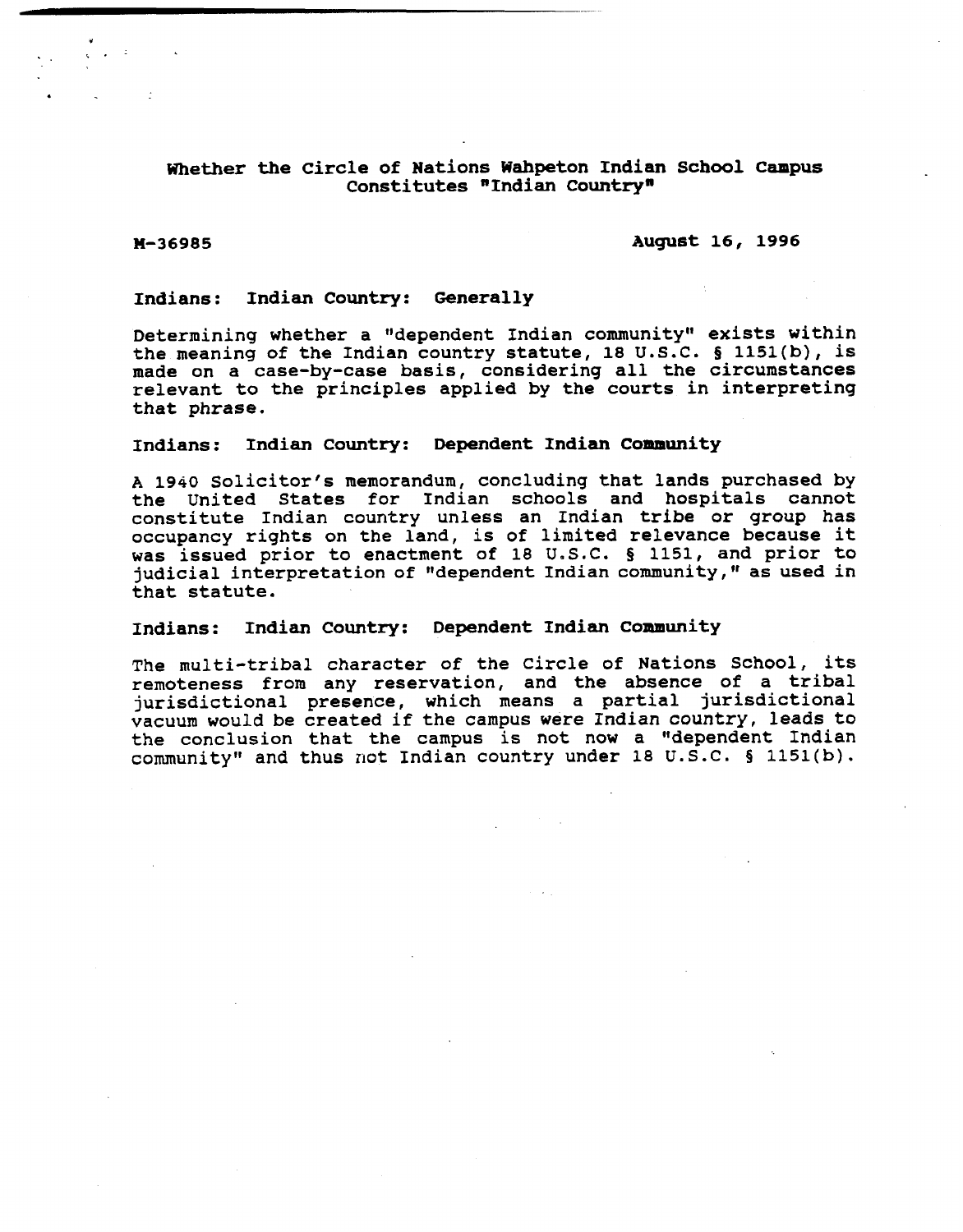# Whether the Circle of Nations Wahpeton Indian School Campus **Constitutes "Indian Countryn**

# **H-36985 August 16, 1996**

# **Indians: Indian Country: Generally**

Determining whether a "dependent Indian community" exists within **the meaning of the Indian country statute, 18 U.S.C. 5 1151(b), is made on a case-by-case basis, considering all the circumstances relevant to the principles applied by the courts in interpreting that phrase.** 

### **Indians: Indian Country: Dependent Indian Community**

**A 1940 solicitor's memorandum, concluding that lands purchased by the United States for Indian schools and hospitals cannot constitute Indian country unless an Indian tribe or group has occupancy rights on the land, is of limited relevance because it was issued prior to enactment of 18 U.S.C. Q 1151, and prior to judicial interpretation of "dependent Indian community, as used in that statute.** 

# **Indians: Indian Country: Dependent Indian Community**

**The multi-tribal character of the Circle of Nations School, its remoteness from any reservation, and the absence of a tribal jurisdictional presence, which means a partial jurisdictional vacuum would be created if the campus were Indian country, leads to the conclusion that the campus is not now a "dependent Indian communityff and thus not Indian country under 18 U.S.C. 5 1151(b).**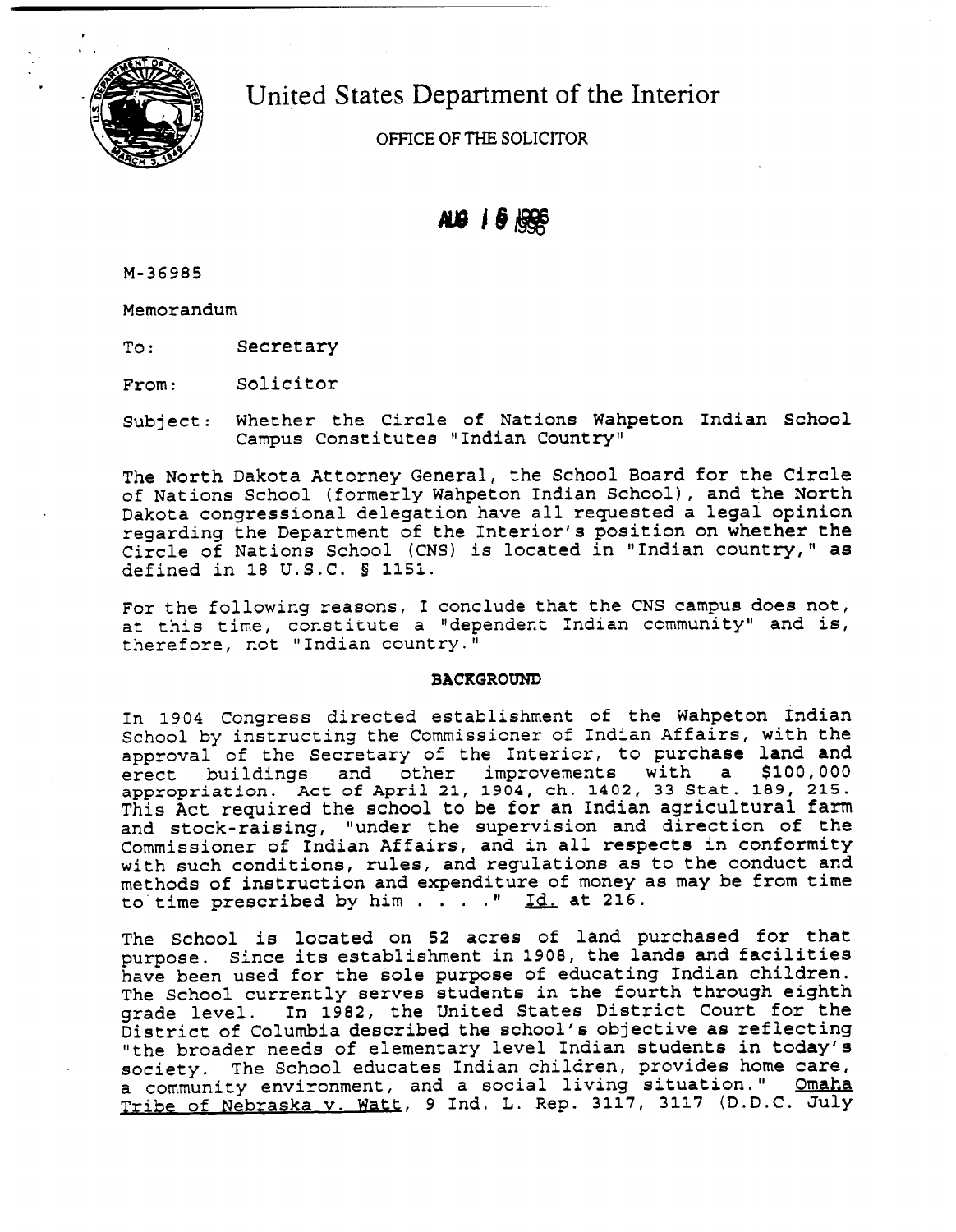

United States Department of the Interior

OFFICE **OF** THE SOLICITOR

# $AB + 6$

M-36985

Memorandum

To: Secretary

From: Solicitor

Subject: Whether the Circle of Nations Wahpeton Indian School Campus Constitutes "Indian Country"

The North Dakota Attorney General, the School Board for the Circle of Nations School (formerly Wahpeton Indian School), and the North Dakota congressional delegation have all requested a legal opinion regarding the Department of the Interior's position on whether the Circle of Nations School (CNS) is located in "Indian country," as defined in 18 U.S.C. § 1151.

For the following reasons, I conclude that the CNS campus does not, at this time, constitute a "dependent Indian community" and is, therefore, not "Indian country."

# **BACKGROUND**

In 1904 Congress directed establishment of the Wahpeton Indian School by instructing the Commissioner of Indian Affairs, with the approval of the Secretary of the Interior, to purchase land and erect buildings and other improvements with a \$100,000 appropriation. Act of April 21, 1904, ch. 1402, 33 Stat. 189, 215. This Act required the school to be for an Indian agricultural farm and stock-raising, "under the supervision and direction of the Commissioner of Indian Affairs, and in all respects in conformity with such conditions, rules, and regulations as to the conduct and methods of instruction and expenditure of money as may be from time to time prescribed by him  $\ldots$  . . " Id, at 216.

The School is located on 52 acres of land purchased for that purpose. Since its establishment in 1908, the lands and facilities have been used for the sole purpose of educating Indian children. The School currently serves students in the fourth through eighth grade level. In 1982, the United States District Court for the District of Columbia described the school's objective as reflecting "the broader needs of elementary level Indian students in today's society. The School educates Indian children, provides home care, a community environment, and a social living situation." Omaha Tribe of Nebraska v. Watt, 9 Ind. L. Rep. **3117, 3117** (D.D.C. July